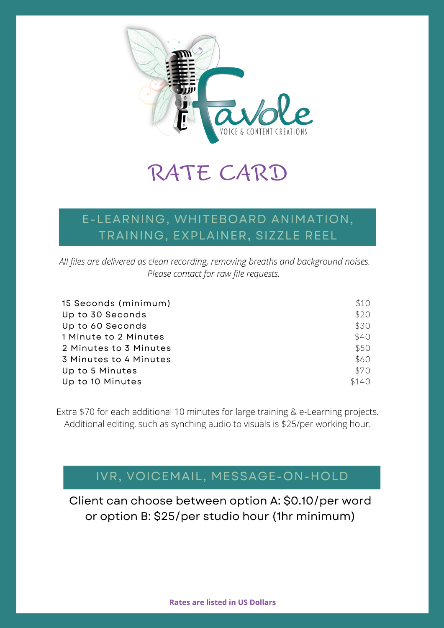

## RATE CARD

### E-LEARNING, WHITEBOARD ANIMATION, TRAINING, EXPLAINER, SIZZLE REEL

*All files are delivered as clean recording, removing breaths and background noises. Please contact for raw file requests.*

| 15 Seconds (minimum)   | \$10  |
|------------------------|-------|
| Up to 30 Seconds       | \$20  |
| Up to 60 Seconds       | \$30  |
| 1 Minute to 2 Minutes  | \$40  |
| 2 Minutes to 3 Minutes | \$50  |
| 3 Minutes to 4 Minutes | \$60  |
| Up to 5 Minutes        | \$70  |
| Up to 10 Minutes       | \$140 |

Extra \$70 for each additional 10 minutes for large training & e-Learning projects. Additional editing, such as synching audio to visuals is \$25/per working hour.

## IVR, VOICEMAIL, MESSAGE-ON-HOLD

Client can choose between option A: \$0.10/per word or option B: \$25/per studio hour (1hr minimum)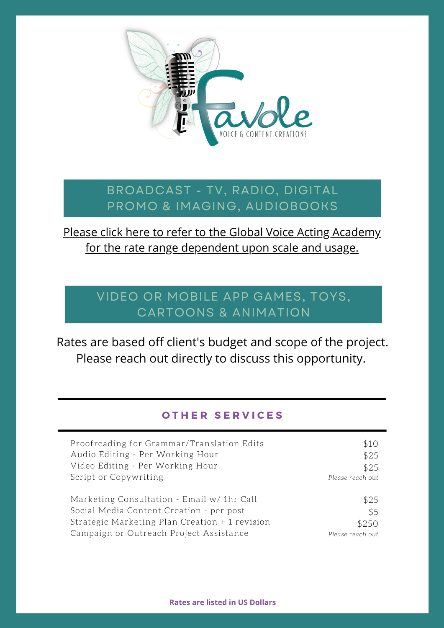

#### BROADCAST - TV, RADIO, DIGITAL PROMO & IMAGING, AUDIOBOOKS

### Please click here to refer to the Global Voice Acting Academy for the rate range [dependent](https://globalvoiceacademy.com/gvaa-rate-guide-2/) upon scale and usage.

## VIDEO OR MOBILE APP GAMES, TOYS, CARTOONS & ANIMATION

Rates are based off client's budget and scope of the project. Please reach out directly to discuss this opportunity.

#### **O T H E R S E R V I C E S**

| Proofreading for Grammar/Translation Edits     | \$10             |
|------------------------------------------------|------------------|
| Audio Editing - Per Working Hour               | \$25             |
| Video Editing - Per Working Hour               | \$25             |
| Script or Copywriting                          | Please reach out |
| Marketing Consultation - Email w/ 1hr Call     | \$25             |
| Social Media Content Creation - per post       | \$5              |
| Strategic Marketing Plan Creation + 1 revision | \$250            |
| Campaign or Outreach Project Assistance        | Please reach out |